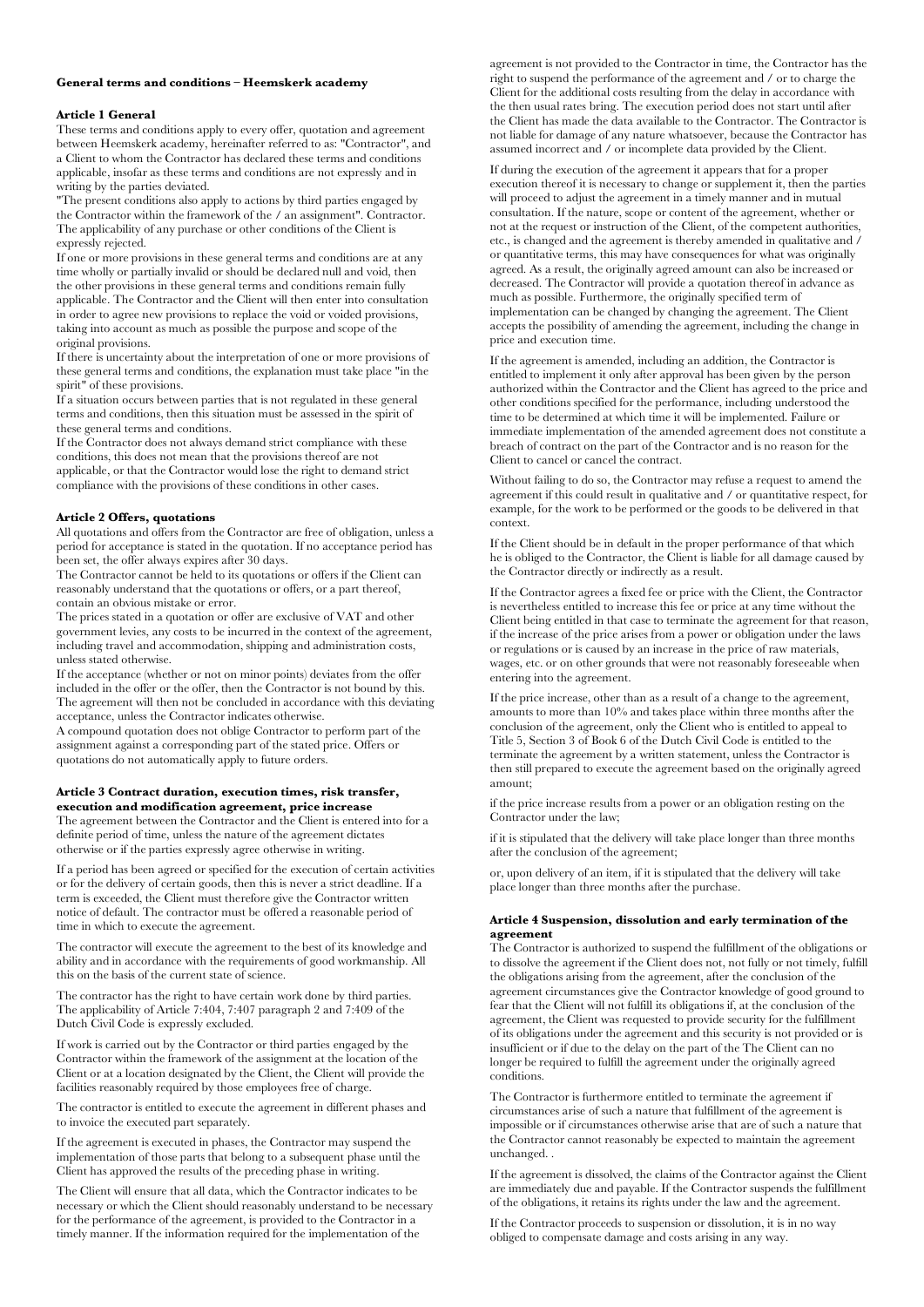# **General terms and conditions – Heemskerk academy**

#### **Article 1 General**

These terms and conditions apply to every offer, quotation and agreement between Heemskerk academy, hereinafter referred to as: "Contractor", and a Client to whom the Contractor has declared these terms and conditions applicable, insofar as these terms and conditions are not expressly and in writing by the parties deviated.

"The present conditions also apply to actions by third parties engaged by the Contractor within the framework of the / an assignment". Contractor. The applicability of any purchase or other conditions of the Client is expressly rejected.

If one or more provisions in these general terms and conditions are at any time wholly or partially invalid or should be declared null and void, then the other provisions in these general terms and conditions remain fully applicable. The Contractor and the Client will then enter into consultation in order to agree new provisions to replace the void or voided provisions, taking into account as much as possible the purpose and scope of the original provisions.

If there is uncertainty about the interpretation of one or more provisions of these general terms and conditions, the explanation must take place "in the spirit" of these provisions.

If a situation occurs between parties that is not regulated in these general terms and conditions, then this situation must be assessed in the spirit of these general terms and conditions.

If the Contractor does not always demand strict compliance with these conditions, this does not mean that the provisions thereof are not applicable, or that the Contractor would lose the right to demand strict compliance with the provisions of these conditions in other cases.

### **Article 2 Offers, quotations**

All quotations and offers from the Contractor are free of obligation, unless a period for acceptance is stated in the quotation. If no acceptance period has been set, the offer always expires after 30 days.

The Contractor cannot be held to its quotations or offers if the Client can reasonably understand that the quotations or offers, or a part thereof, contain an obvious mistake or error.

The prices stated in a quotation or offer are exclusive of VAT and other government levies, any costs to be incurred in the context of the agreement, including travel and accommodation, shipping and administration costs, unless stated otherwise.

If the acceptance (whether or not on minor points) deviates from the offer included in the offer or the offer, then the Contractor is not bound by this. The agreement will then not be concluded in accordance with this deviating acceptance, unless the Contractor indicates otherwise.

A compound quotation does not oblige Contractor to perform part of the assignment against a corresponding part of the stated price. Offers or quotations do not automatically apply to future orders.

#### **Article 3 Contract duration, execution times, risk transfer, execution and modification agreement, price increase**

The agreement between the Contractor and the Client is entered into for a definite period of time, unless the nature of the agreement dictates otherwise or if the parties expressly agree otherwise in writing.

If a period has been agreed or specified for the execution of certain activities or for the delivery of certain goods, then this is never a strict deadline. If a term is exceeded, the Client must therefore give the Contractor written notice of default. The contractor must be offered a reasonable period of time in which to execute the agreement.

The contractor will execute the agreement to the best of its knowledge and ability and in accordance with the requirements of good workmanship. All this on the basis of the current state of science.

The contractor has the right to have certain work done by third parties. The applicability of Article 7:404, 7:407 paragraph 2 and 7:409 of the Dutch Civil Code is expressly excluded.

If work is carried out by the Contractor or third parties engaged by the Contractor within the framework of the assignment at the location of the Client or at a location designated by the Client, the Client will provide the facilities reasonably required by those employees free of charge.

The contractor is entitled to execute the agreement in different phases and to invoice the executed part separately.

If the agreement is executed in phases, the Contractor may suspend the implementation of those parts that belong to a subsequent phase until the Client has approved the results of the preceding phase in writing.

The Client will ensure that all data, which the Contractor indicates to be necessary or which the Client should reasonably understand to be necessary for the performance of the agreement, is provided to the Contractor in a timely manner. If the information required for the implementation of the

agreement is not provided to the Contractor in time, the Contractor has the right to suspend the performance of the agreement and / or to charge the Client for the additional costs resulting from the delay in accordance with the then usual rates bring. The execution period does not start until after the Client has made the data available to the Contractor. The Contractor is not liable for damage of any nature whatsoever, because the Contractor has assumed incorrect and / or incomplete data provided by the Client.

If during the execution of the agreement it appears that for a proper execution thereof it is necessary to change or supplement it, then the parties will proceed to adjust the agreement in a timely manner and in mutual consultation. If the nature, scope or content of the agreement, whether or not at the request or instruction of the Client, of the competent authorities, etc., is changed and the agreement is thereby amended in qualitative and / or quantitative terms, this may have consequences for what was originally agreed. As a result, the originally agreed amount can also be increased or decreased. The Contractor will provide a quotation thereof in advance as much as possible. Furthermore, the originally specified term of implementation can be changed by changing the agreement. The Client accepts the possibility of amending the agreement, including the change in price and execution time.

If the agreement is amended, including an addition, the Contractor is entitled to implement it only after approval has been given by the person authorized within the Contractor and the Client has agreed to the price and other conditions specified for the performance, including understood the time to be determined at which time it will be implemented. Failure or immediate implementation of the amended agreement does not constitute a breach of contract on the part of the Contractor and is no reason for the Client to cancel or cancel the contract.

Without failing to do so, the Contractor may refuse a request to amend the agreement if this could result in qualitative and / or quantitative respect, for example, for the work to be performed or the goods to be delivered in that context.

If the Client should be in default in the proper performance of that which he is obliged to the Contractor, the Client is liable for all damage caused by the Contractor directly or indirectly as a result.

If the Contractor agrees a fixed fee or price with the Client, the Contractor is nevertheless entitled to increase this fee or price at any time without the Client being entitled in that case to terminate the agreement for that reason, if the increase of the price arises from a power or obligation under the laws or regulations or is caused by an increase in the price of raw materials, wages, etc. or on other grounds that were not reasonably foreseeable when entering into the agreement.

If the price increase, other than as a result of a change to the agreement, amounts to more than 10% and takes place within three months after the conclusion of the agreement, only the Client who is entitled to appeal to Title 5, Section 3 of Book 6 of the Dutch Civil Code is entitled to the terminate the agreement by a written statement, unless the Contractor is then still prepared to execute the agreement based on the originally agreed amount;

if the price increase results from a power or an obligation resting on the Contractor under the law;

if it is stipulated that the delivery will take place longer than three months after the conclusion of the agreement;

or, upon delivery of an item, if it is stipulated that the delivery will take place longer than three months after the purchase.

### **Article 4 Suspension, dissolution and early termination of the agreement**

The Contractor is authorized to suspend the fulfillment of the obligations or to dissolve the agreement if the Client does not, not fully or not timely, fulfill the obligations arising from the agreement, after the conclusion of the agreement circumstances give the Contractor knowledge of good ground to fear that the Client will not fulfill its obligations if, at the conclusion of the agreement, the Client was requested to provide security for the fulfillment of its obligations under the agreement and this security is not provided or is insufficient or if due to the delay on the part of the The Client can no longer be required to fulfill the agreement under the originally agreed conditions.

The Contractor is furthermore entitled to terminate the agreement if circumstances arise of such a nature that fulfillment of the agreement is impossible or if circumstances otherwise arise that are of such a nature that the Contractor cannot reasonably be expected to maintain the agreement unchanged. .

If the agreement is dissolved, the claims of the Contractor against the Client are immediately due and payable. If the Contractor suspends the fulfillment of the obligations, it retains its rights under the law and the agreement.

If the Contractor proceeds to suspension or dissolution, it is in no way obliged to compensate damage and costs arising in any way.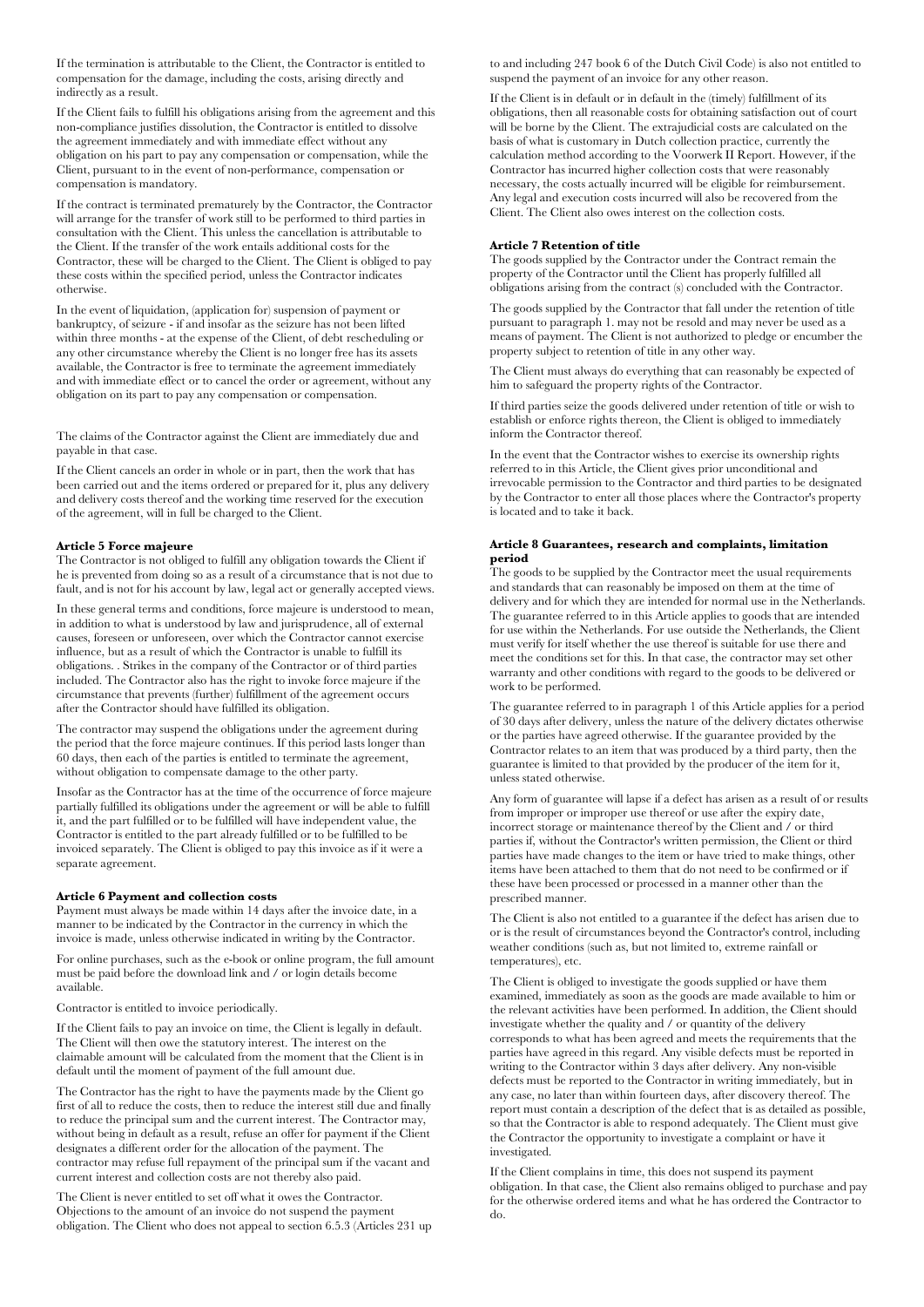If the termination is attributable to the Client, the Contractor is entitled to compensation for the damage, including the costs, arising directly and indirectly as a result.

If the Client fails to fulfill his obligations arising from the agreement and this non-compliance justifies dissolution, the Contractor is entitled to dissolve the agreement immediately and with immediate effect without any obligation on his part to pay any compensation or compensation, while the Client, pursuant to in the event of non-performance, compensation or compensation is mandatory.

If the contract is terminated prematurely by the Contractor, the Contractor will arrange for the transfer of work still to be performed to third parties in consultation with the Client. This unless the cancellation is attributable to the Client. If the transfer of the work entails additional costs for the Contractor, these will be charged to the Client. The Client is obliged to pay these costs within the specified period, unless the Contractor indicates otherwise.

In the event of liquidation, (application for) suspension of payment or bankruptcy, of seizure - if and insofar as the seizure has not been lifted within three months - at the expense of the Client, of debt rescheduling or any other circumstance whereby the Client is no longer free has its assets available, the Contractor is free to terminate the agreement immediately and with immediate effect or to cancel the order or agreement, without any obligation on its part to pay any compensation or compensation.

The claims of the Contractor against the Client are immediately due and payable in that case.

If the Client cancels an order in whole or in part, then the work that has been carried out and the items ordered or prepared for it, plus any delivery and delivery costs thereof and the working time reserved for the execution of the agreement, will in full be charged to the Client.

## **Article 5 Force majeure**

The Contractor is not obliged to fulfill any obligation towards the Client if he is prevented from doing so as a result of a circumstance that is not due to fault, and is not for his account by law, legal act or generally accepted views.

In these general terms and conditions, force majeure is understood to mean, in addition to what is understood by law and jurisprudence, all of external causes, foreseen or unforeseen, over which the Contractor cannot exercise influence, but as a result of which the Contractor is unable to fulfill its obligations. . Strikes in the company of the Contractor or of third parties included. The Contractor also has the right to invoke force majeure if the circumstance that prevents (further) fulfillment of the agreement occurs after the Contractor should have fulfilled its obligation.

The contractor may suspend the obligations under the agreement during the period that the force majeure continues. If this period lasts longer than 60 days, then each of the parties is entitled to terminate the agreement, without obligation to compensate damage to the other party.

Insofar as the Contractor has at the time of the occurrence of force majeure partially fulfilled its obligations under the agreement or will be able to fulfill it, and the part fulfilled or to be fulfilled will have independent value, the Contractor is entitled to the part already fulfilled or to be fulfilled to be invoiced separately. The Client is obliged to pay this invoice as if it were a separate agreement.

#### **Article 6 Payment and collection costs**

Payment must always be made within 14 days after the invoice date, in a manner to be indicated by the Contractor in the currency in which the invoice is made, unless otherwise indicated in writing by the Contractor.

For online purchases, such as the e-book or online program, the full amount must be paid before the download link and / or login details become available.

Contractor is entitled to invoice periodically.

If the Client fails to pay an invoice on time, the Client is legally in default. The Client will then owe the statutory interest. The interest on the claimable amount will be calculated from the moment that the Client is in default until the moment of payment of the full amount due.

The Contractor has the right to have the payments made by the Client go first of all to reduce the costs, then to reduce the interest still due and finally to reduce the principal sum and the current interest. The Contractor may, without being in default as a result, refuse an offer for payment if the Client designates a different order for the allocation of the payment. The contractor may refuse full repayment of the principal sum if the vacant and current interest and collection costs are not thereby also paid.

The Client is never entitled to set off what it owes the Contractor. Objections to the amount of an invoice do not suspend the payment obligation. The Client who does not appeal to section 6.5.3 (Articles 231 up to and including 247 book 6 of the Dutch Civil Code) is also not entitled to suspend the payment of an invoice for any other reason.

If the Client is in default or in default in the (timely) fulfillment of its obligations, then all reasonable costs for obtaining satisfaction out of court will be borne by the Client. The extrajudicial costs are calculated on the basis of what is customary in Dutch collection practice, currently the calculation method according to the Voorwerk II Report. However, if the Contractor has incurred higher collection costs that were reasonably necessary, the costs actually incurred will be eligible for reimbursement. Any legal and execution costs incurred will also be recovered from the Client. The Client also owes interest on the collection costs.

### **Article 7 Retention of title**

The goods supplied by the Contractor under the Contract remain the property of the Contractor until the Client has properly fulfilled all obligations arising from the contract (s) concluded with the Contractor.

The goods supplied by the Contractor that fall under the retention of title pursuant to paragraph 1. may not be resold and may never be used as a means of payment. The Client is not authorized to pledge or encumber the property subject to retention of title in any other way.

The Client must always do everything that can reasonably be expected of him to safeguard the property rights of the Contractor.

If third parties seize the goods delivered under retention of title or wish to establish or enforce rights thereon, the Client is obliged to immediately inform the Contractor thereof.

In the event that the Contractor wishes to exercise its ownership rights referred to in this Article, the Client gives prior unconditional and irrevocable permission to the Contractor and third parties to be designated by the Contractor to enter all those places where the Contractor's property is located and to take it back.

#### **Article 8 Guarantees, research and complaints, limitation period**

The goods to be supplied by the Contractor meet the usual requirements and standards that can reasonably be imposed on them at the time of delivery and for which they are intended for normal use in the Netherlands. The guarantee referred to in this Article applies to goods that are intended for use within the Netherlands. For use outside the Netherlands, the Client must verify for itself whether the use thereof is suitable for use there and meet the conditions set for this. In that case, the contractor may set other warranty and other conditions with regard to the goods to be delivered or work to be performed.

The guarantee referred to in paragraph 1 of this Article applies for a period of 30 days after delivery, unless the nature of the delivery dictates otherwise or the parties have agreed otherwise. If the guarantee provided by the Contractor relates to an item that was produced by a third party, then the guarantee is limited to that provided by the producer of the item for it, unless stated otherwise.

Any form of guarantee will lapse if a defect has arisen as a result of or results from improper or improper use thereof or use after the expiry date, incorrect storage or maintenance thereof by the Client and / or third parties if, without the Contractor's written permission, the Client or third parties have made changes to the item or have tried to make things, other items have been attached to them that do not need to be confirmed or if these have been processed or processed in a manner other than the prescribed manner.

The Client is also not entitled to a guarantee if the defect has arisen due to or is the result of circumstances beyond the Contractor's control, including weather conditions (such as, but not limited to, extreme rainfall or temperatures), etc.

The Client is obliged to investigate the goods supplied or have them examined, immediately as soon as the goods are made available to him or the relevant activities have been performed. In addition, the Client should investigate whether the quality and / or quantity of the delivery corresponds to what has been agreed and meets the requirements that the parties have agreed in this regard. Any visible defects must be reported in writing to the Contractor within 3 days after delivery. Any non-visible defects must be reported to the Contractor in writing immediately, but in any case, no later than within fourteen days, after discovery thereof. The report must contain a description of the defect that is as detailed as possible, so that the Contractor is able to respond adequately. The Client must give the Contractor the opportunity to investigate a complaint or have it investigated.

If the Client complains in time, this does not suspend its payment obligation. In that case, the Client also remains obliged to purchase and pay for the otherwise ordered items and what he has ordered the Contractor to do.